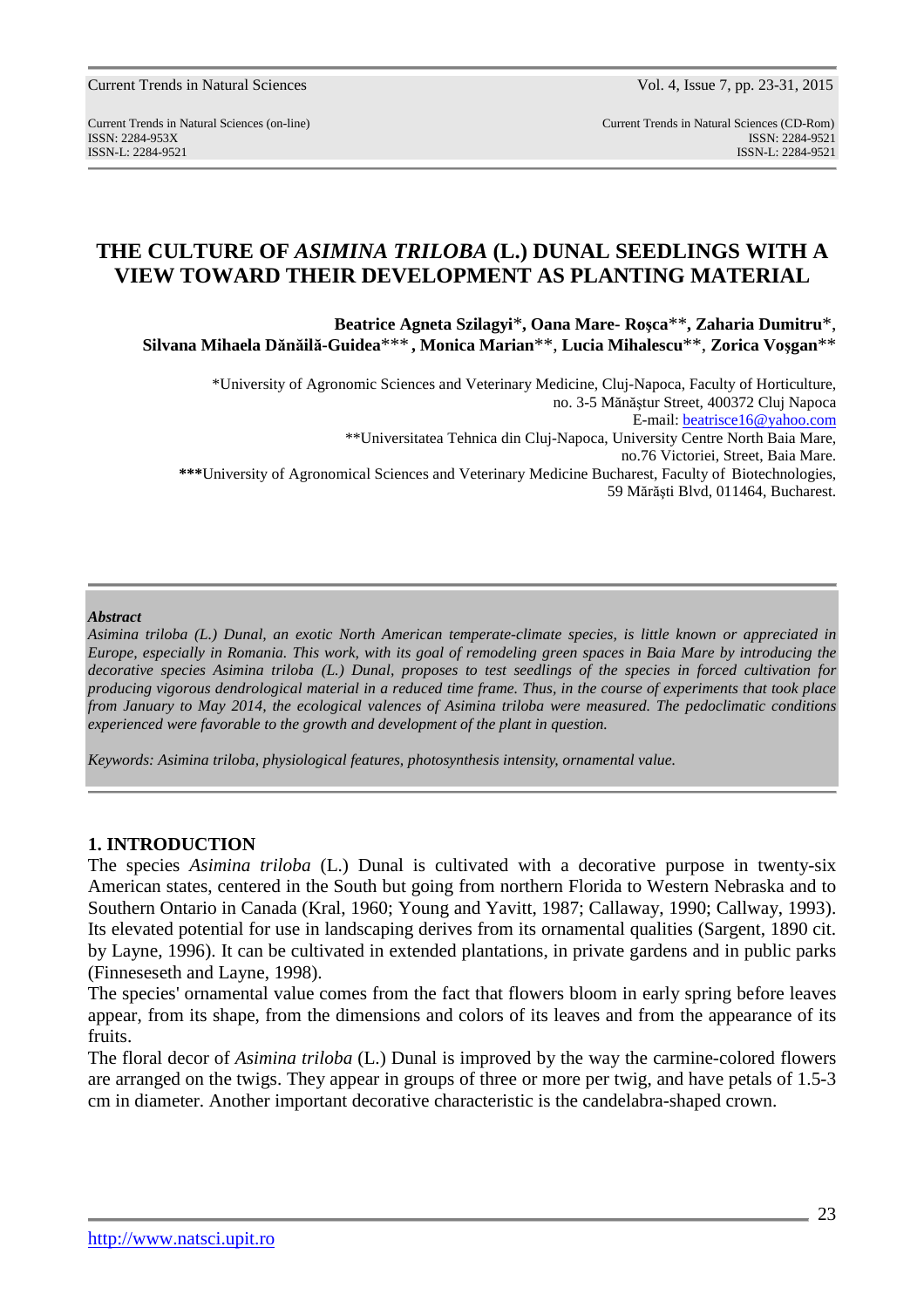http://www.natsci.upit.ro

#### Current Trends in Natural Sciences Vol. 4, Issue 7, pp. 23-31, 2015

Current Trends in Natural Sciences (on-line) Current Trends in Natural Sciences (CD-Rom)

ISSN: 2284-953XISSN: 2284-9521 ISSN-L: 2284-9521 ISSN-L: 2284-9521

# **THE CULTURE OF** *ASIMINA TRILOBA* **(L.) DUNAL SEEDLINGS WITH A VIEW TOWARD THEIR DEVELOPMENT AS PLANTING MATERIAL**

**Beatrice Agneta Szilagyi**\***, Oana Mare- Roşca**\*\***, Zaharia Dumitru**\*, **Silvana Mihaela Dănăilă-Guidea**\*\*\* **, Monica Marian**\*\*, **Lucia Mihalescu**\*\*, **Zorica Voşgan**\*\*

\*University of Agronomic Sciences and Veterinary Medicine, Cluj-Napoca, Faculty of Horticulture, no. 3-5 Mănăştur Street, 400372 Cluj Napoca E-mail: beatrisce16@yahoo.com \*\*Universitatea Tehnica din Cluj-Napoca, University Centre North Baia Mare, no.76 Victoriei, Street, Baia Mare. **\*\*\***University of Agronomical Sciences and Veterinary Medicine Bucharest, Faculty of Biotechnologies, 59 Mărăşti Blvd, 011464, Bucharest.

#### *Abstract*

*Asimina triloba (L.) Dunal, an exotic North American temperate-climate species, is little known or appreciated in Europe, especially in Romania. This work, with its goal of remodeling green spaces in Baia Mare by introducing the decorative species Asimina triloba (L.) Dunal, proposes to test seedlings of the species in forced cultivation for producing vigorous dendrological material in a reduced time frame. Thus, in the course of experiments that took place from January to May 2014, the ecological valences of Asimina triloba were measured. The pedoclimatic conditions experienced were favorable to the growth and development of the plant in question.* 

*Keywords: Asimina triloba, physiological features, photosynthesis intensity, ornamental value.* 

### **1. INTRODUCTION**

The species *Asimina triloba* (L.) Dunal is cultivated with a decorative purpose in twenty-six American states, centered in the South but going from northern Florida to Western Nebraska and to Southern Ontario in Canada (Kral, 1960; Young and Yavitt, 1987; Callaway, 1990; Callway, 1993). Its elevated potential for use in landscaping derives from its ornamental qualities (Sargent, 1890 cit. by Layne, 1996). It can be cultivated in extended plantations, in private gardens and in public parks (Finneseseth and Layne, 1998).

The species' ornamental value comes from the fact that flowers bloom in early spring before leaves appear, from its shape, from the dimensions and colors of its leaves and from the appearance of its fruits.

The floral decor of *Asimina triloba* (L.) Dunal is improved by the way the carmine-colored flowers are arranged on the twigs. They appear in groups of three or more per twig, and have petals of 1.5-3 cm in diameter. Another important decorative characteristic is the candelabra-shaped crown.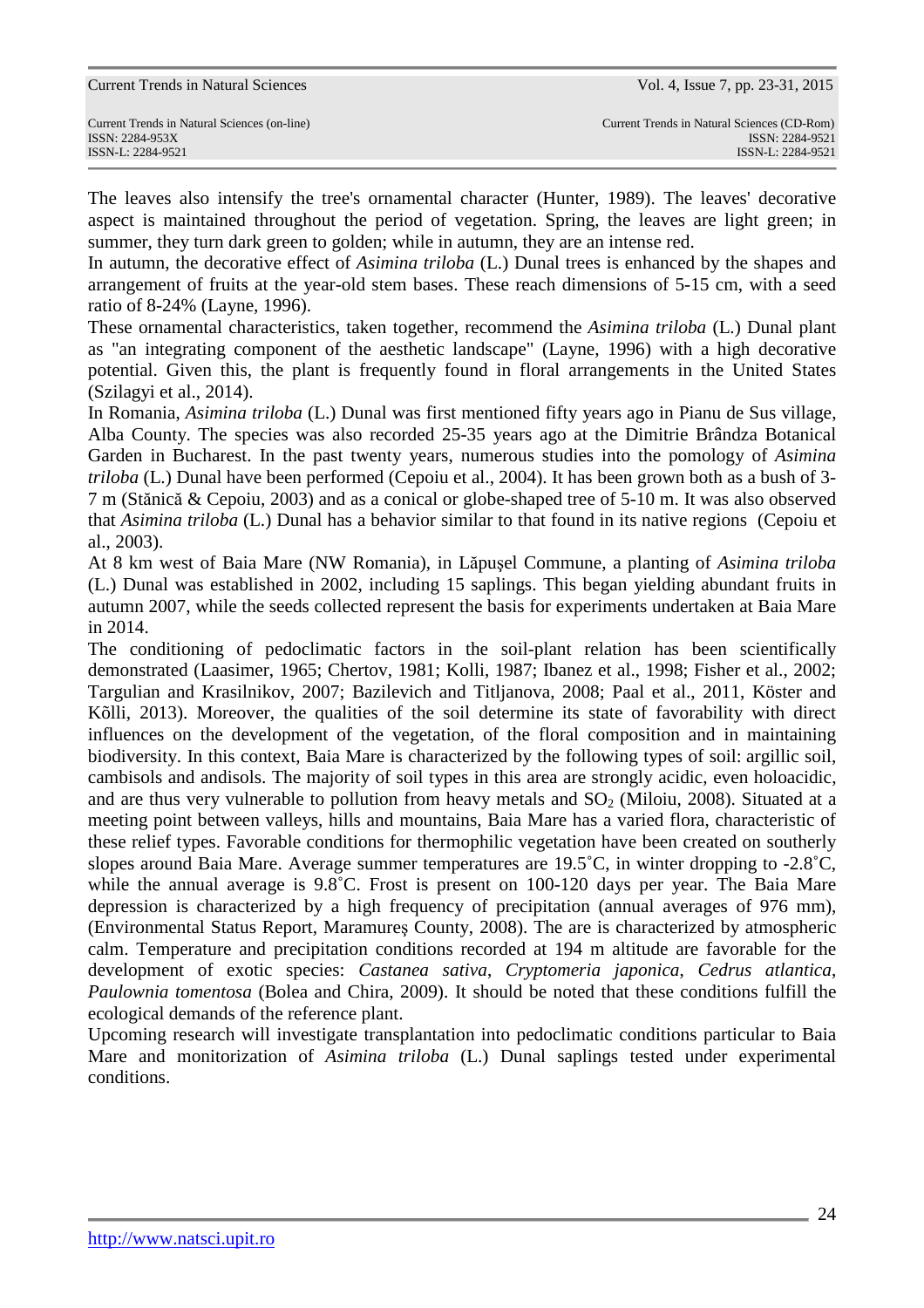| Current Trends in Natural Sciences (on-line) |
|----------------------------------------------|
| ISSN: 2284-953X                              |
| $ISSN-I: 2284-9521$                          |

The leaves also intensify the tree's ornamental character (Hunter, 1989). The leaves' decorative aspect is maintained throughout the period of vegetation. Spring, the leaves are light green; in summer, they turn dark green to golden; while in autumn, they are an intense red.

In autumn, the decorative effect of *Asimina triloba* (L.) Dunal trees is enhanced by the shapes and arrangement of fruits at the year-old stem bases. These reach dimensions of 5-15 cm, with a seed ratio of 8-24% (Layne, 1996).

These ornamental characteristics, taken together, recommend the *Asimina triloba* (L.) Dunal plant as "an integrating component of the aesthetic landscape" (Layne, 1996) with a high decorative potential. Given this, the plant is frequently found in floral arrangements in the United States (Szilagyi et al., 2014).

In Romania, *Asimina triloba* (L.) Dunal was first mentioned fifty years ago in Pianu de Sus village, Alba County. The species was also recorded 25-35 years ago at the Dimitrie Brândza Botanical Garden in Bucharest. In the past twenty years, numerous studies into the pomology of *Asimina triloba* (L.) Dunal have been performed (Cepoiu et al., 2004). It has been grown both as a bush of 3- 7 m (Stănică & Cepoiu, 2003) and as a conical or globe-shaped tree of 5-10 m. It was also observed that *Asimina triloba* (L.) Dunal has a behavior similar to that found in its native regions (Cepoiu et al., 2003).

At 8 km west of Baia Mare (NW Romania), in Lăpuşel Commune, a planting of *Asimina triloba* (L.) Dunal was established in 2002, including 15 saplings. This began yielding abundant fruits in autumn 2007, while the seeds collected represent the basis for experiments undertaken at Baia Mare in 2014.

The conditioning of pedoclimatic factors in the soil-plant relation has been scientifically demonstrated (Laasimer, 1965; Chertov, 1981; Kolli, 1987; Ibanez et al., 1998; Fisher et al., 2002; Targulian and Krasilnikov, 2007; Bazilevich and Titljanova, 2008; Paal et al., 2011, Köster and Kõlli, 2013). Moreover, the qualities of the soil determine its state of favorability with direct influences on the development of the vegetation, of the floral composition and in maintaining biodiversity. In this context, Baia Mare is characterized by the following types of soil: argillic soil, cambisols and andisols. The majority of soil types in this area are strongly acidic, even holoacidic, and are thus very vulnerable to pollution from heavy metals and  $SO<sub>2</sub>$  (Miloiu, 2008). Situated at a meeting point between valleys, hills and mountains, Baia Mare has a varied flora, characteristic of these relief types. Favorable conditions for thermophilic vegetation have been created on southerly slopes around Baia Mare. Average summer temperatures are 19.5˚C, in winter dropping to -2.8˚C, while the annual average is 9.8˚C. Frost is present on 100-120 days per year. The Baia Mare depression is characterized by a high frequency of precipitation (annual averages of 976 mm), (Environmental Status Report, Maramureş County, 2008). The are is characterized by atmospheric calm. Temperature and precipitation conditions recorded at 194 m altitude are favorable for the development of exotic species: *Castanea sativa*, *Cryptomeria japonica*, *Cedrus atlantica*, *Paulownia tomentosa* (Bolea and Chira, 2009). It should be noted that these conditions fulfill the ecological demands of the reference plant.

Upcoming research will investigate transplantation into pedoclimatic conditions particular to Baia Mare and monitorization of *Asimina triloba* (L.) Dunal saplings tested under experimental conditions.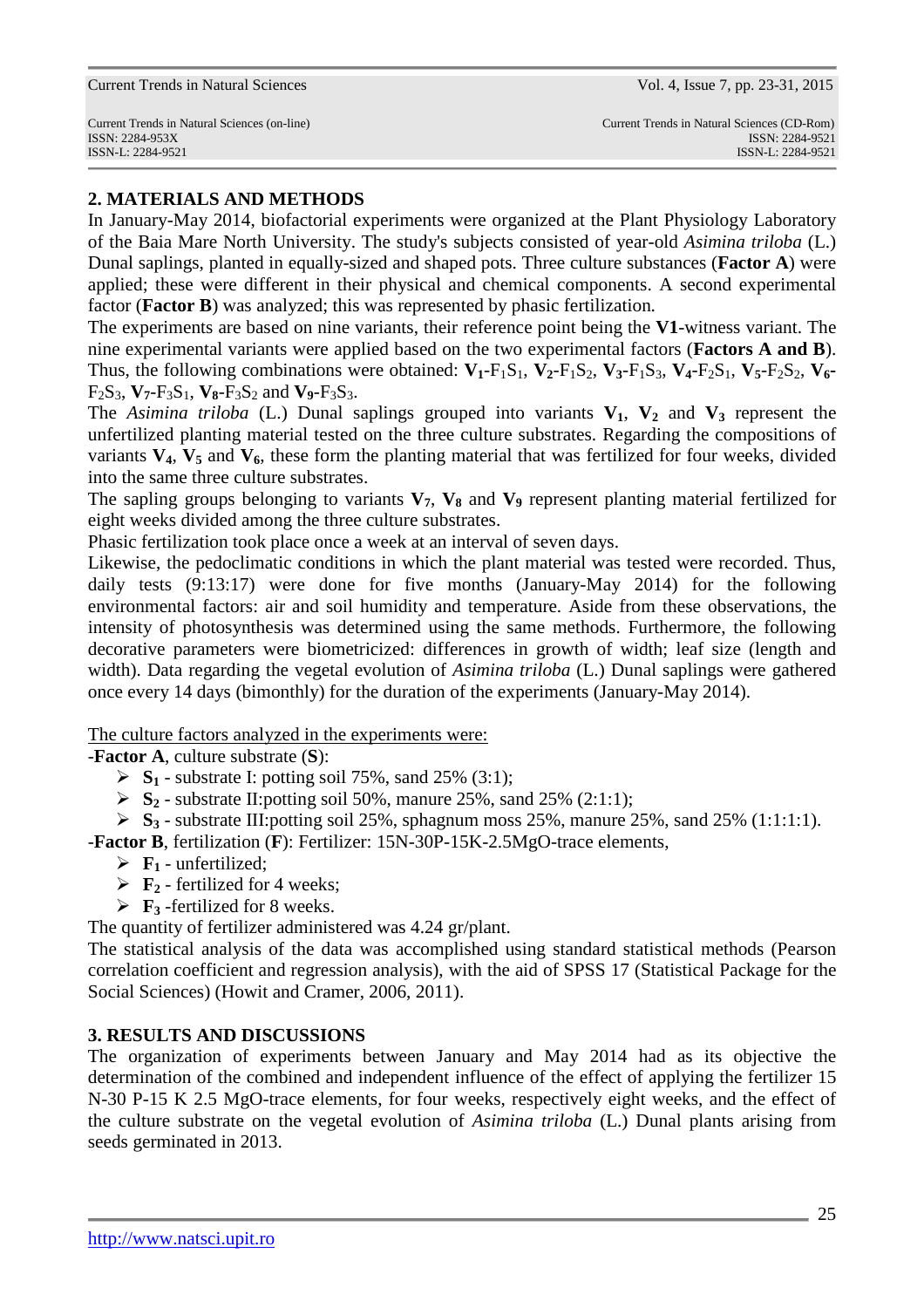Current Trends in Natural Sciences Vol. 4, Issue 7, pp. 23-31, 2015

## **2. MATERIALS AND METHODS**

In January-May 2014, biofactorial experiments were organized at the Plant Physiology Laboratory of the Baia Mare North University. The study's subjects consisted of year-old *Asimina triloba* (L.) Dunal saplings, planted in equally-sized and shaped pots. Three culture substances (**Factor A**) were applied; these were different in their physical and chemical components. A second experimental factor (**Factor B**) was analyzed; this was represented by phasic fertilization.

The experiments are based on nine variants, their reference point being the **V1**-witness variant. The nine experimental variants were applied based on the two experimental factors (**Factors A and B**). Thus, the following combinations were obtained:  $V_1$ -F<sub>1</sub>S<sub>1</sub>,  $V_2$ -F<sub>1</sub>S<sub>2</sub>,  $V_3$ -F<sub>1</sub>S<sub>3</sub>,  $V_4$ -F<sub>2</sub>S<sub>1</sub>,  $V_5$ -F<sub>2</sub>S<sub>2</sub>,  $V_6$ - $F_2S_3$ ,  $V_7-F_3S_1$ ,  $V_8-F_3S_2$  and  $V_9-F_3S_3$ .

The *Asimina triloba* (L.) Dunal saplings grouped into variants  $V_1$ ,  $V_2$  and  $V_3$  represent the unfertilized planting material tested on the three culture substrates. Regarding the compositions of variants **V4**, **V5** and **V6**, these form the planting material that was fertilized for four weeks, divided into the same three culture substrates.

The sapling groups belonging to variants  $V_7$ ,  $V_8$  and  $V_9$  represent planting material fertilized for eight weeks divided among the three culture substrates.

Phasic fertilization took place once a week at an interval of seven days.

Likewise, the pedoclimatic conditions in which the plant material was tested were recorded. Thus, daily tests (9:13:17) were done for five months (January-May 2014) for the following environmental factors: air and soil humidity and temperature. Aside from these observations, the intensity of photosynthesis was determined using the same methods. Furthermore, the following decorative parameters were biometricized: differences in growth of width; leaf size (length and width). Data regarding the vegetal evolution of *Asimina triloba* (L.) Dunal saplings were gathered once every 14 days (bimonthly) for the duration of the experiments (January-May 2014).

The culture factors analyzed in the experiments were:

-**Factor A**, culture substrate (**S**):

- $\triangleright$  **S**<sub>1</sub> substrate I: potting soil 75%, sand 25% (3:1);
- $\triangleright$  **S**<sub>2</sub> substrate II: potting soil 50%, manure 25%, sand 25% (2:1:1);
- $\triangleright$  **S<sub>3</sub>** substrate III: potting soil 25%, sphagnum moss 25%, manure 25%, sand 25% (1:1:1:1).
- -**Factor B**, fertilization (**F**): Fertilizer: 15N-30P-15K-2.5MgO-trace elements,
	- $\triangleright$  **F**<sub>1</sub> unfertilized;
	- $\triangleright$  **F**<sub>2</sub> fertilized for 4 weeks;
	- $\triangleright$  **F**<sub>3</sub> -fertilized for 8 weeks.

The quantity of fertilizer administered was 4.24 gr/plant.

The statistical analysis of the data was accomplished using standard statistical methods (Pearson correlation coefficient and regression analysis), with the aid of SPSS 17 (Statistical Package for the Social Sciences) (Howit and Cramer, 2006, 2011).

# **3. RESULTS AND DISCUSSIONS**

The organization of experiments between January and May 2014 had as its objective the determination of the combined and independent influence of the effect of applying the fertilizer 15 N-30 P-15 K 2.5 MgO-trace elements, for four weeks, respectively eight weeks, and the effect of the culture substrate on the vegetal evolution of *Asimina triloba* (L.) Dunal plants arising from seeds germinated in 2013.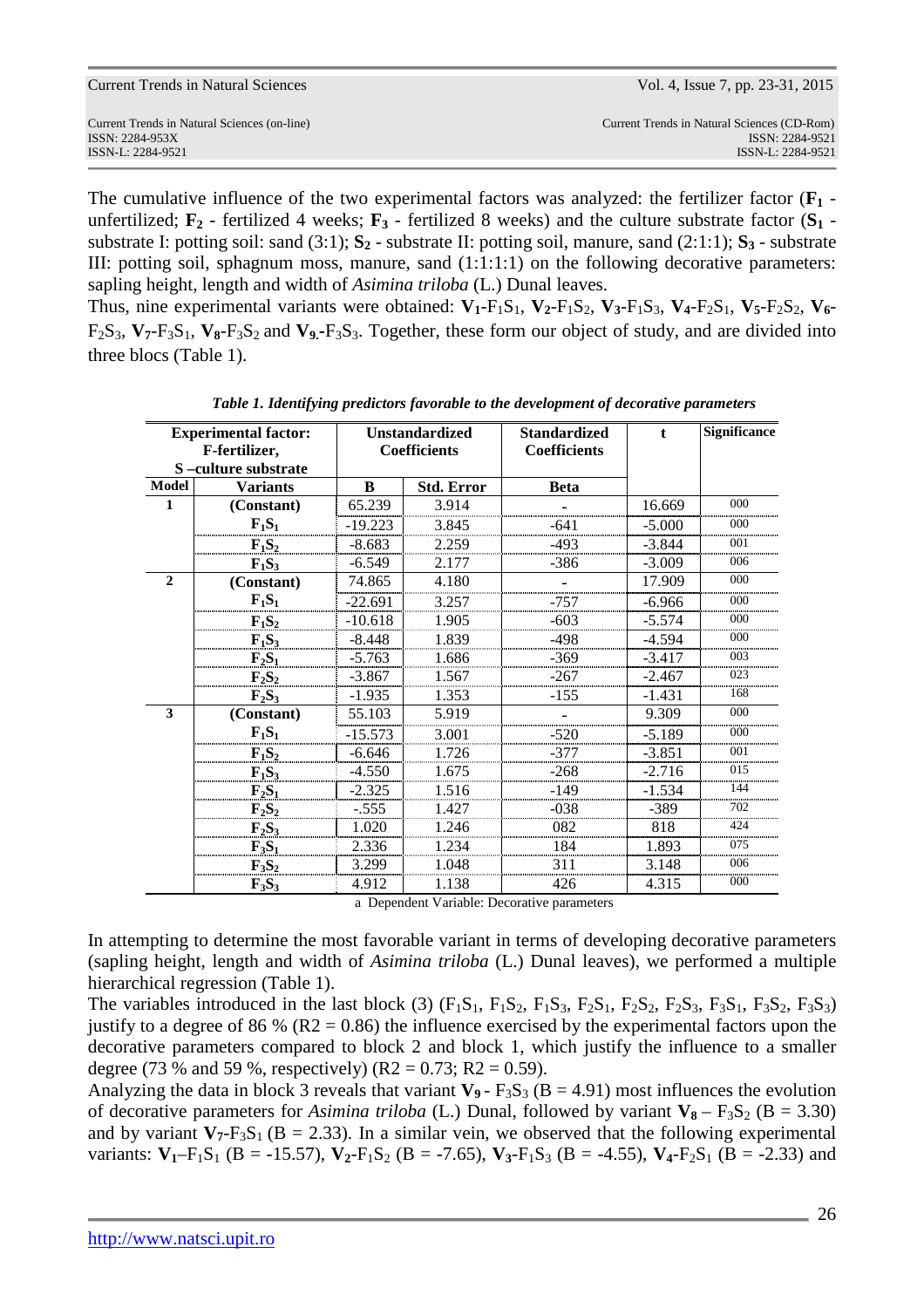| Current Trends in Natural Sciences           | Vol. 4, Issue 7, pp. 23-31, 2015            |
|----------------------------------------------|---------------------------------------------|
| Current Trends in Natural Sciences (on-line) | Current Trends in Natural Sciences (CD-Rom) |
| ISSN: 2284-953X                              | ISSN: 2284-9521                             |
| ISSN-L: 2284-9521                            | ISSN-L: 2284-9521                           |

The cumulative influence of the two experimental factors was analyzed: the fertilizer factor  $(F_1 - F_2)$ unfertilized;  $\mathbf{F}_2$  - fertilized 4 weeks;  $\mathbf{F}_3$  - fertilized 8 weeks) and the culture substrate factor  $(\mathbf{S}_1$  substrate I: potting soil: sand (3:1); **S2** - substrate II: potting soil, manure, sand (2:1:1); **S3** - substrate III: potting soil, sphagnum moss, manure, sand (1:1:1:1) on the following decorative parameters: sapling height, length and width of *Asimina triloba* (L.) Dunal leaves.

Thus, nine experimental variants were obtained:  $V_1$ -F<sub>1</sub>S<sub>1</sub>,  $V_2$ -F<sub>1</sub>S<sub>2</sub>,  $V_3$ -F<sub>1</sub>S<sub>3</sub>,  $V_4$ -F<sub>2</sub>S<sub>1</sub>,  $V_5$ -F<sub>2</sub>S<sub>2</sub>,  $V_6$ - $F_2S_3$ ,  $V_7-F_3S_1$ ,  $V_8-F_3S_2$  and  $V_9-F_3S_3$ . Together, these form our object of study, and are divided into three blocs (Table 1).

| <b>Experimental factor:</b> |                     |           | <b>Unstandardized</b> | <b>Standardized</b> | $\mathbf{t}$ | Significance |
|-----------------------------|---------------------|-----------|-----------------------|---------------------|--------------|--------------|
| F-fertilizer,               |                     |           | <b>Coefficients</b>   | <b>Coefficients</b> |              |              |
|                             | S-culture substrate |           |                       |                     |              |              |
| <b>Model</b>                | <b>Variants</b>     | B         | <b>Std. Error</b>     | <b>Beta</b>         |              |              |
| 1                           | (Constant)          | 65.239    | 3.914                 |                     | 16.669       | 000          |
|                             | $F_1S_1$            | $-19.223$ | 3.845                 | -641                | $-5.000$     | 000          |
|                             | $F_1S_2$            | $-8.683$  | 2.259                 | $-493$              | $-3.844$     | 001          |
|                             | $F_1S_3$            | $-6.549$  | 2.177                 | $-386$              | $-3.009$     | 006          |
| $\mathbf{2}$                | (Constant)          | 74.865    | 4.180                 |                     | 17.909       | $000 \,$     |
|                             | $F_1S_1$            | $-22.691$ | 3.257                 | $-757$              | $-6.966$     | 000          |
|                             | $F_1S_2$            | $-10.618$ | 1.905                 | $-603$              | $-5.574$     | 000          |
|                             | $F_1S_3$            | $-8.448$  | 1.839                 | -498                | $-4.594$     | 000          |
|                             | $F_2S_1$            | $-5.763$  | 1.686                 | $-369$              | $-3.417$     | 003          |
|                             | $F_2S_2$            | $-3.867$  | 1.567                 | $-267$              | $-2.467$     | 023          |
|                             | $F_2S_3$            | $-1.935$  | 1.353                 | $-155$              | $-1.431$     | 168          |
| 3                           | (Constant)          | 55.103    | 5.919                 |                     | 9.309        | 000          |
|                             | $F_1S_1$            | $-15.573$ | 3.001                 | $-520$              | $-5.189$     | $000 \,$     |
|                             | $F_1S_2$            | $-6.646$  | 1.726                 | $-377$              | $-3.851$     | 001          |
|                             | $F_1S_3$            | $-4.550$  | 1.675                 | $-268$              | $-2.716$     | 015          |
|                             | $F_2S_1$            | $-2.325$  | 1.516                 | $-149$              | $-1.534$     | 144          |
|                             | $F_2S_2$            | $-.555$   | 1.427                 | $-038$              | $-389$       | 702          |
|                             | $F_2S_3$            | 1.020     | 1.246                 | 082                 | 818          | 424          |
|                             | $F_3S_1$            | 2.336     | 1.234                 | 184                 | 1.893        | 075          |
|                             | $F_3S_2$            | 3.299     | 1.048                 | 311                 | 3.148        | 006          |
|                             | $F_3S_3$            | 4.912     | 1.138                 | 426                 | 4.315        | 000          |

*Table 1. Identifying predictors favorable to the development of decorative parameters* 

a Dependent Variable: Decorative parameters

In attempting to determine the most favorable variant in terms of developing decorative parameters (sapling height, length and width of *Asimina triloba* (L.) Dunal leaves), we performed a multiple hierarchical regression (Table 1).

The variables introduced in the last block (3)  $(F_1S_1, F_1S_2, F_1S_3, F_2S_1, F_2S_2, F_2S_3, F_3S_1, F_3S_2, F_3S_3)$ justify to a degree of 86 % ( $R2 = 0.86$ ) the influence exercised by the experimental factors upon the decorative parameters compared to block 2 and block 1, which justify the influence to a smaller degree (73 % and 59 %, respectively) (R2 = 0.73; R2 = 0.59).

Analyzing the data in block 3 reveals that variant  $V_9$  -  $F_3S_3$  ( $B = 4.91$ ) most influences the evolution of decorative parameters for *Asimina triloba* (L.) Dunal, followed by variant  $V_8 - F_3S_2$  ( $B = 3.30$ ) and by variant  $V_7$ -F<sub>3</sub>S<sub>1</sub> (B = 2.33). In a similar vein, we observed that the following experimental variants:  $V_1 - F_1S_1$  (B = -15.57),  $V_2 - F_1S_2$  (B = -7.65),  $V_3 - F_1S_3$  (B = -4.55),  $V_4 - F_2S_1$  (B = -2.33) and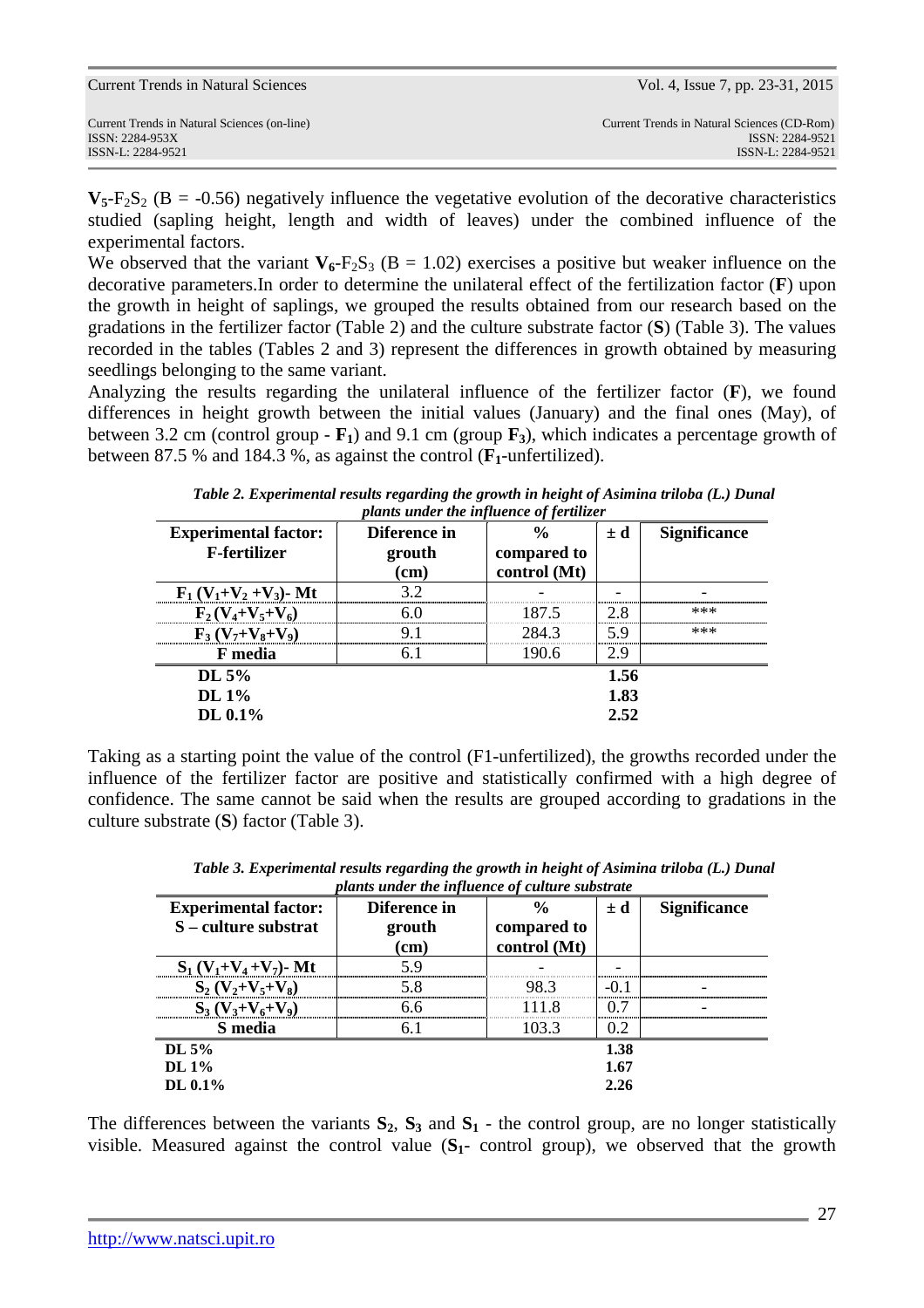| Current Trends in Natural Sciences (on-line) | Current Trends in Natural Sciences (CD-Rom) |
|----------------------------------------------|---------------------------------------------|
| ISSN: 2284-953X                              | ISSN: 2284-9521                             |
| ISSN-L: 2284-9521                            | ISSN-L: 2284-9521                           |

Current Trends in Natural Sciences Vol. 4, Issue 7, pp. 23-31, 2015

 $V_5$ -F<sub>2</sub>S<sub>2</sub> (B = -0.56) negatively influence the vegetative evolution of the decorative characteristics studied (sapling height, length and width of leaves) under the combined influence of the experimental factors.

We observed that the variant  $V_6$ -F<sub>2</sub>S<sub>3</sub> (B = 1.02) exercises a positive but weaker influence on the decorative parameters.In order to determine the unilateral effect of the fertilization factor (**F**) upon the growth in height of saplings, we grouped the results obtained from our research based on the gradations in the fertilizer factor (Table 2) and the culture substrate factor (**S**) (Table 3). The values recorded in the tables (Tables 2 and 3) represent the differences in growth obtained by measuring seedlings belonging to the same variant.

Analyzing the results regarding the unilateral influence of the fertilizer factor (**F**), we found differences in height growth between the initial values (January) and the final ones (May), of between 3.2 cm (control group - **F1**) and 9.1 cm (group **F3**), which indicates a percentage growth of between 87.5 % and 184.3 %, as against the control (**F1**-unfertilized).

| <b>Experimental factor:</b> | Diference in |              |      | <b>Significance</b> |  |
|-----------------------------|--------------|--------------|------|---------------------|--|
| <b>F-fertilizer</b>         | grouth       | compared to  |      |                     |  |
|                             | (cm)         | control (Mt) |      |                     |  |
| $F_1(V_1+V_2+V_3)$ - Mt     | 32           |              |      |                     |  |
| $F_2(V_4+V_5+V_6)$          |              | 187.5        | 2.8  | ***                 |  |
| $F_3(V_7+V_8+V_9)$          | Q            | 284.3        | 5.9  | ***                 |  |
| F media                     | 6 I          | 190.6        | 2.9  |                     |  |
| DL 5%                       |              |              | 1.56 |                     |  |
| DL 1%                       |              |              | 1.83 |                     |  |
| DL 0.1%                     |              |              | 2.52 |                     |  |

*Table 2. Experimental results regarding the growth in height of Asimina triloba (L.) Dunal plants under the influence of fertilizer* 

Taking as a starting point the value of the control (F1-unfertilized), the growths recorded under the influence of the fertilizer factor are positive and statistically confirmed with a high degree of confidence. The same cannot be said when the results are grouped according to gradations in the culture substrate (**S**) factor (Table 3).

| <b>Experimental factor:</b>  | Diference in | $\frac{0}{0}$ | $\pm d$ | <b>Significance</b> |
|------------------------------|--------------|---------------|---------|---------------------|
| S – culture substrat         | grouth       | compared to   |         |                     |
|                              | $(cm)$       | control (Mt)  |         |                     |
| $S_1 (V_1 + V_4 + V_7)$ - Mt | 5 Q          |               |         |                     |
| $S_2 (V_2 + V_5 + V_8)$      | 58           | 98.3          |         |                     |
| $S_3 (V_3 + V_6 + V_9)$      | 66           | 1118          | 0.7     |                     |
| S media                      | 61           | 103.3         | 0.2     |                     |
| DL $5\%$                     |              |               | 1.38    |                     |
| DL $1\%$                     |              |               | 1.67    |                     |
| DL $0.1\%$                   |              |               | 2.26    |                     |

*Table 3. Experimental results regarding the growth in height of Asimina triloba (L.) Dunal plants under the influence of culture substrate* 

The differences between the variants  $S_2$ ,  $S_3$  and  $S_1$  - the control group, are no longer statistically visible. Measured against the control value (**S1**- control group), we observed that the growth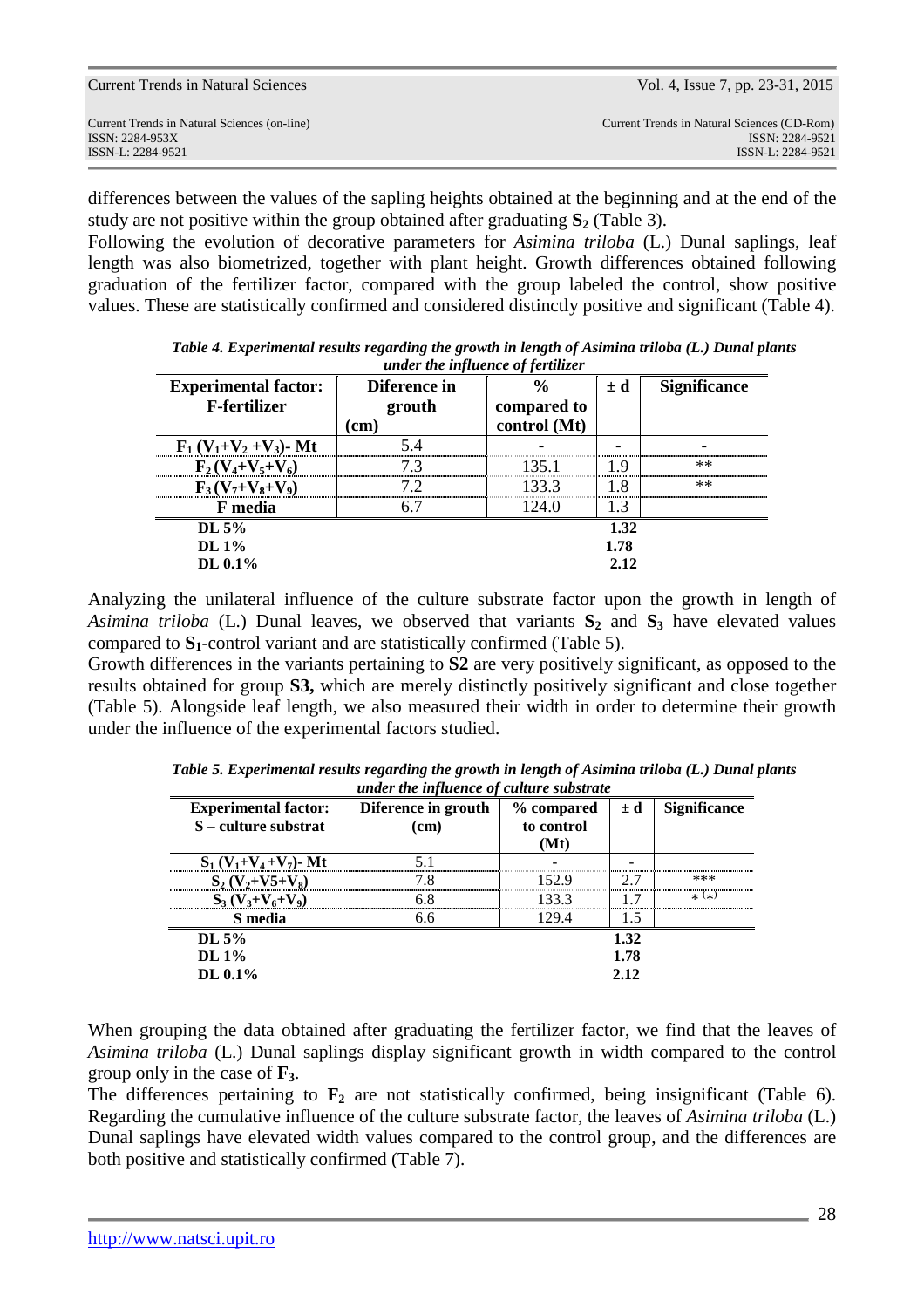| Current Trends in Natural Sciences (on-line)<br>ISSN: 2284-953X<br>ISSN-L: 2284-9521 | Current Trends in Natural Sciences | Vol. 4, Issue 7, pp. 23-31, 2015                                                    |
|--------------------------------------------------------------------------------------|------------------------------------|-------------------------------------------------------------------------------------|
|                                                                                      |                                    | Current Trends in Natural Sciences (CD-Rom)<br>ISSN: 2284-9521<br>ISSN-L: 2284-9521 |

differences between the values of the sapling heights obtained at the beginning and at the end of the study are not positive within the group obtained after graduating **S2** (Table 3).

Following the evolution of decorative parameters for *Asimina triloba* (L.) Dunal saplings, leaf length was also biometrized, together with plant height. Growth differences obtained following graduation of the fertilizer factor, compared with the group labeled the control, show positive values. These are statistically confirmed and considered distinctly positive and significant (Table 4).

| <b>Experimental factor:</b><br><b>F-fertilizer</b> | Diference in<br>grouth<br>(cm) | $\frac{6}{6}$<br>compared to<br>control (Mt) | $\pm d$ | <b>Significance</b> |
|----------------------------------------------------|--------------------------------|----------------------------------------------|---------|---------------------|
| $F_1 (V_1 + V_2 + V_3)$ - Mt                       |                                |                                              |         |                     |
| $F_2(V_4+V_5+V_6)$                                 |                                | 135 1                                        | ΙQ      | $**$                |
| $F_3(V_7+V_8+V_9)$                                 | 79                             | 133.3                                        | -8      | $**$                |
| F media                                            |                                | 124 0                                        | 1.3     |                     |
| DL $5\%$                                           |                                |                                              | 1.32    |                     |
| DL $1\%$                                           |                                |                                              | 1.78    |                     |
| DL 0.1%                                            |                                |                                              | 2.12    |                     |

*Table 4. Experimental results regarding the growth in length of Asimina triloba (L.) Dunal plants under the influence of fertilizer* 

Analyzing the unilateral influence of the culture substrate factor upon the growth in length of *Asimina triloba* (L.) Dunal leaves, we observed that variants  $S_2$  and  $S_3$  have elevated values compared to **S1**-control variant and are statistically confirmed (Table 5).

Growth differences in the variants pertaining to **S2** are very positively significant, as opposed to the results obtained for group **S3,** which are merely distinctly positively significant and close together (Table 5). Alongside leaf length, we also measured their width in order to determine their growth under the influence of the experimental factors studied.

| <b>Experimental factor:</b><br>S – culture substrat | Diference in grouth<br>(cm) | % compared<br>to control<br>(Mt) | $\pm d$ | <b>Significance</b> |
|-----------------------------------------------------|-----------------------------|----------------------------------|---------|---------------------|
| $S_1 (V_1 + V_4 + V_7)$ - Mt                        |                             |                                  |         |                     |
| $S_2 (V_2+V_5+V_8)$                                 | 78                          | 152.9                            | 7 7     | ***                 |
| $S_3(V_3+V_6+V_9)$                                  | 6 ጸ                         | 133.3                            |         | $*$ $(*)$           |
| S media                                             | 6.6                         | 129.4                            |         |                     |
| DL $5%$                                             |                             |                                  | 1.32    |                     |
| DL $1\%$                                            |                             |                                  | 1.78    |                     |
| DL 0.1%                                             |                             |                                  | 2.12    |                     |

*Table 5. Experimental results regarding the growth in length of Asimina triloba (L.) Dunal plants under the influence of culture substrate* 

When grouping the data obtained after graduating the fertilizer factor, we find that the leaves of *Asimina triloba* (L.) Dunal saplings display significant growth in width compared to the control group only in the case of **F3**.

The differences pertaining to  $\mathbf{F}_2$  are not statistically confirmed, being insignificant (Table 6). Regarding the cumulative influence of the culture substrate factor, the leaves of *Asimina triloba* (L.) Dunal saplings have elevated width values compared to the control group, and the differences are both positive and statistically confirmed (Table 7).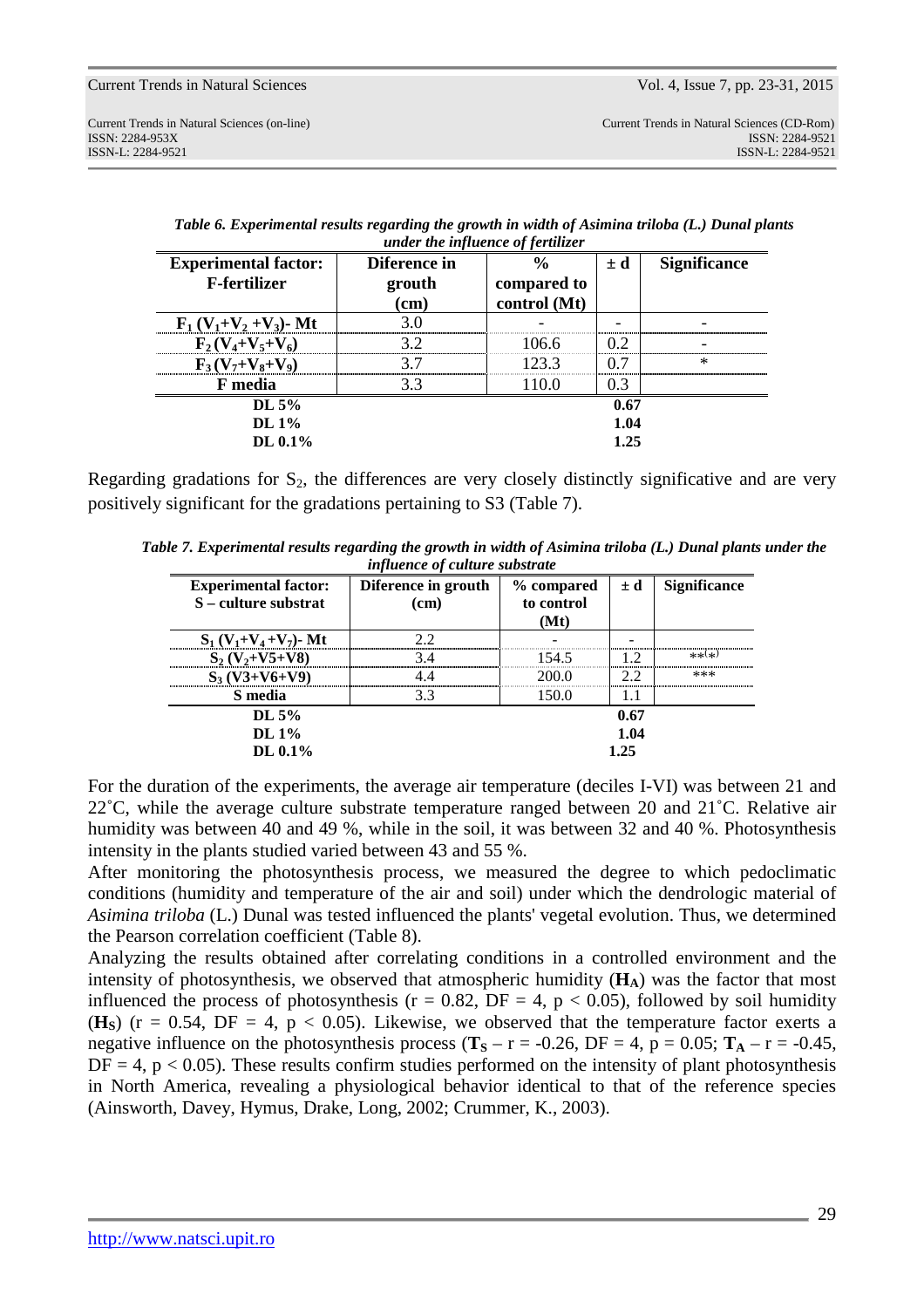| <b>Experimental factor:</b><br><b>F-fertilizer</b> | Diference in<br>grouth<br>$\mathbf{(cm)}$ | $\frac{6}{9}$<br>compared to<br>control (Mt) | $\pm d$ | <b>Significance</b> |  |
|----------------------------------------------------|-------------------------------------------|----------------------------------------------|---------|---------------------|--|
| $F_1(V_1+V_2+V_3)$ - Mt                            |                                           |                                              |         |                     |  |
| $F_2(V_4+V_5+V_6)$                                 | 39                                        | 106.6                                        | 02      |                     |  |
| $F_3(V_7+V_8+V_9)$                                 |                                           | 123.3                                        | ∩ 7     | $\ast$              |  |
| F media                                            | 33                                        | 110.0                                        | () 3    |                     |  |
| DL $5%$                                            |                                           |                                              | 0.67    |                     |  |
| DL $1\%$                                           |                                           |                                              | 1.04    |                     |  |
| DL 0.1%                                            |                                           | 1.25                                         |         |                     |  |

*Table 6. Experimental results regarding the growth in width of Asimina triloba (L.) Dunal plants under the influence of fertilizer* 

Regarding gradations for  $S_2$ , the differences are very closely distinctly significative and are very positively significant for the gradations pertaining to S3 (Table 7).

*Table 7. Experimental results regarding the growth in width of Asimina triloba (L.) Dunal plants under the influence of culture substrate* 

| <b>Experimental factor:</b><br>S – culture substrat | Diference in grouth<br>(cm) | % compared<br>to control<br>(Mt) |      | <b>Significance</b> |
|-----------------------------------------------------|-----------------------------|----------------------------------|------|---------------------|
| $S_1 (V_1 + V_4 + V_7)$ - Mt                        |                             |                                  |      |                     |
| $S_2 (V_2+V5+V8)$                                   | 34                          | 154.5                            | 12   | ** $(x)$            |
| $S_3 (V3 + V6 + V9)$                                |                             | 200 0                            |      | ***                 |
| S media                                             | 33                          | 150.0                            |      |                     |
| DL $5\%$                                            |                             |                                  | 0.67 |                     |
| DL $1\%$                                            |                             |                                  | 1.04 |                     |
| DL 0.1%                                             |                             |                                  | 1.25 |                     |

For the duration of the experiments, the average air temperature (deciles I-VI) was between 21 and 22˚C, while the average culture substrate temperature ranged between 20 and 21˚C. Relative air humidity was between 40 and 49 %, while in the soil, it was between 32 and 40 %. Photosynthesis intensity in the plants studied varied between 43 and 55 %.

After monitoring the photosynthesis process, we measured the degree to which pedoclimatic conditions (humidity and temperature of the air and soil) under which the dendrologic material of *Asimina triloba* (L.) Dunal was tested influenced the plants' vegetal evolution. Thus, we determined the Pearson correlation coefficient (Table 8).

Analyzing the results obtained after correlating conditions in a controlled environment and the intensity of photosynthesis, we observed that atmospheric humidity (**HA**) was the factor that most influenced the process of photosynthesis ( $r = 0.82$ , DF = 4,  $p < 0.05$ ), followed by soil humidity ( $\textbf{H}_\textbf{S}$ ) (r = 0.54, DF = 4, p < 0.05). Likewise, we observed that the temperature factor exerts a negative influence on the photosynthesis process ( $T_s - r = -0.26$ , DF = 4, p = 0.05;  $T_A - r = -0.45$ ,  $DF = 4$ ,  $p < 0.05$ ). These results confirm studies performed on the intensity of plant photosynthesis in North America, revealing a physiological behavior identical to that of the reference species (Ainsworth, Davey, Hymus, Drake, Long, 2002; Crummer, K., 2003).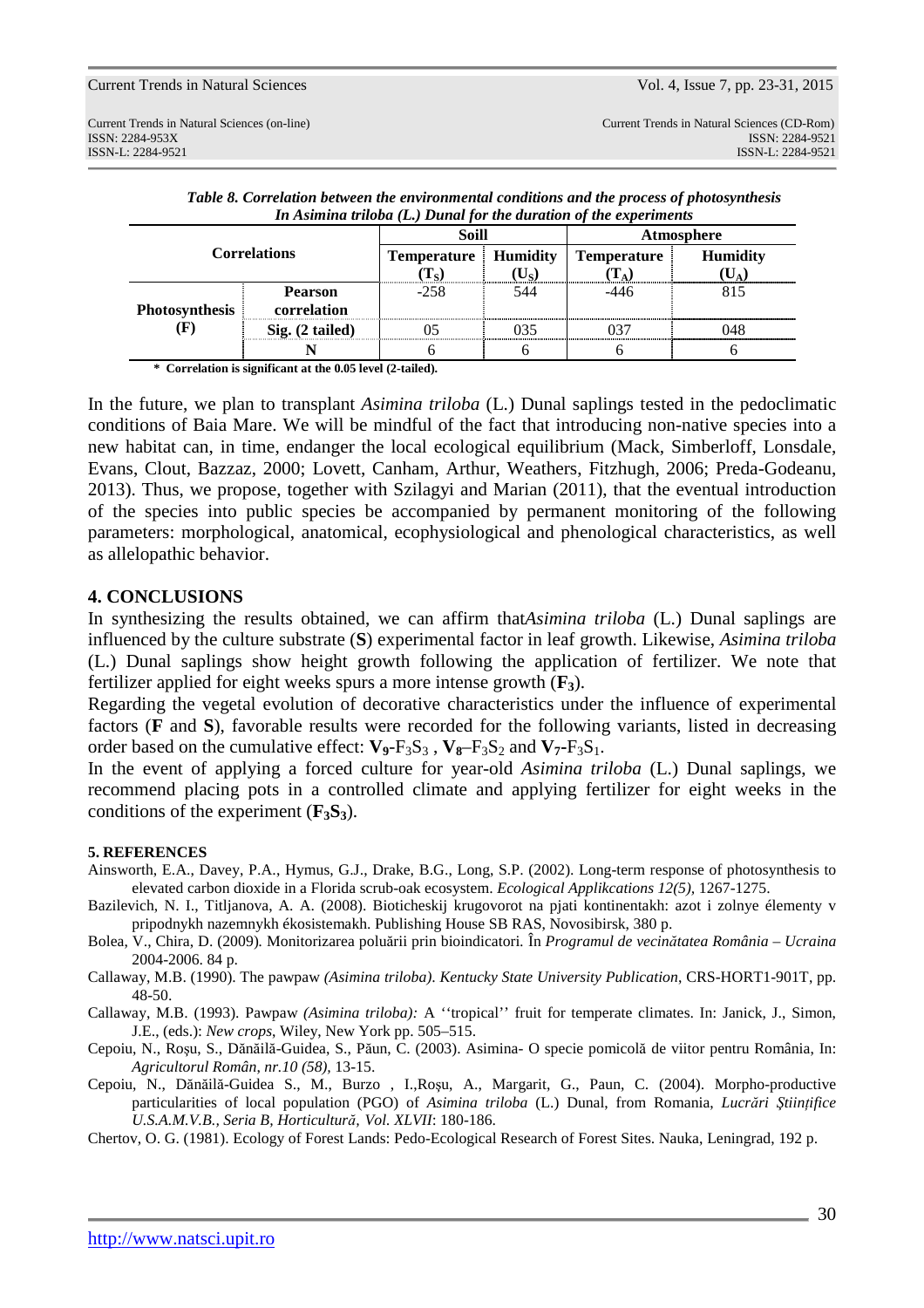| <b>Correlations</b>   |                            | <b>Soill</b>                |     | Atmosphere         |                 |
|-----------------------|----------------------------|-----------------------------|-----|--------------------|-----------------|
|                       |                            | <b>Temperature</b> Humidity |     | <b>Temperature</b> | <b>Humidity</b> |
|                       |                            | Ls.                         |     |                    |                 |
|                       | <b>Pearson</b>             | $-258$                      | 544 |                    |                 |
| <b>Photosynthesis</b> | correlation                |                             |     |                    |                 |
|                       | $\mathrm{Sig.}$ (2 tailed) |                             |     |                    | 148             |
|                       |                            |                             |     |                    |                 |

*Table 8. Correlation between the environmental conditions and the process of photosynthesis In Asimina triloba (L.) Dunal for the duration of the experiments* 

 **\* Correlation is significant at the 0.05 level (2-tailed).** 

In the future, we plan to transplant *Asimina triloba* (L.) Dunal saplings tested in the pedoclimatic conditions of Baia Mare. We will be mindful of the fact that introducing non-native species into a new habitat can, in time, endanger the local ecological equilibrium (Mack, Simberloff, Lonsdale, Evans, Clout, Bazzaz, 2000; Lovett, Canham, Arthur, Weathers, Fitzhugh, 2006; Preda-Godeanu, 2013). Thus, we propose, together with Szilagyi and Marian (2011), that the eventual introduction of the species into public species be accompanied by permanent monitoring of the following parameters: morphological, anatomical, ecophysiological and phenological characteristics, as well as allelopathic behavior.

### **4. CONCLUSIONS**

In synthesizing the results obtained, we can affirm that*Asimina triloba* (L.) Dunal saplings are influenced by the culture substrate (**S**) experimental factor in leaf growth. Likewise, *Asimina triloba* (L.) Dunal saplings show height growth following the application of fertilizer. We note that fertilizer applied for eight weeks spurs a more intense growth (**F3**).

Regarding the vegetal evolution of decorative characteristics under the influence of experimental factors (**F** and **S**), favorable results were recorded for the following variants, listed in decreasing order based on the cumulative effect:  $V_9 - F_3S_3$ ,  $V_8 - F_3S_2$  and  $V_7 - F_3S_1$ .

In the event of applying a forced culture for year-old *Asimina triloba* (L.) Dunal saplings, we recommend placing pots in a controlled climate and applying fertilizer for eight weeks in the conditions of the experiment (**F3S3**).

### **5. REFERENCES**

- Ainsworth, E.A., Davey, P.A., Hymus, G.J., Drake, B.G., Long, S.P. (2002). Long-term response of photosynthesis to elevated carbon dioxide in a Florida scrub-oak ecosystem. *Ecological Applikcations 12(5),* 1267-1275.
- Bazilevich, N. I., Titljanova, A. A. (2008). Bioticheskij krugovorot na pjati kontinentakh: azot i zolnye élementy v pripodnykh nazemnykh ékosistemakh. Publishing House SB RAS, Novosibirsk, 380 p.
- Bolea, V., Chira, D. (2009)*.* Monitorizarea poluării prin bioindicatori*.* În *Programul de vecinătatea România Ucraina* 2004-2006. 84 p.
- Callaway, M.B. (1990). The pawpaw *(Asimina triloba)*. *Kentucky State University Publication*, CRS-HORT1-901T, pp. 48-50.
- Callaway, M.B. (1993). Pawpaw *(Asimina triloba):* A ''tropical'' fruit for temperate climates. In: Janick, J., Simon, J.E., (eds.): *New crops*, Wiley, New York pp. 505–515.
- Cepoiu, N., Roşu, S., Dănăilă-Guidea, S., Păun, C. (2003). Asimina- O specie pomicolă de viitor pentru România, In: *Agricultorul Român*, *nr.10 (58),* 13-15.
- Cepoiu, N., Dănăilă-Guidea S., M., Burzo , I.,Roşu, A., Margarit, G., Paun, C. (2004). Morpho-productive particularities of local population (PGO) of *Asimina triloba* (L.) Dunal, from Romania, *Lucrări Ştiinţifice U.S.A.M.V.B., Seria B, Horticultură, Vol. XLVII*: 180-186.

Chertov, O. G. (1981). Ecology of Forest Lands: Pedo-Ecological Research of Forest Sites. Nauka, Leningrad, 192 p.